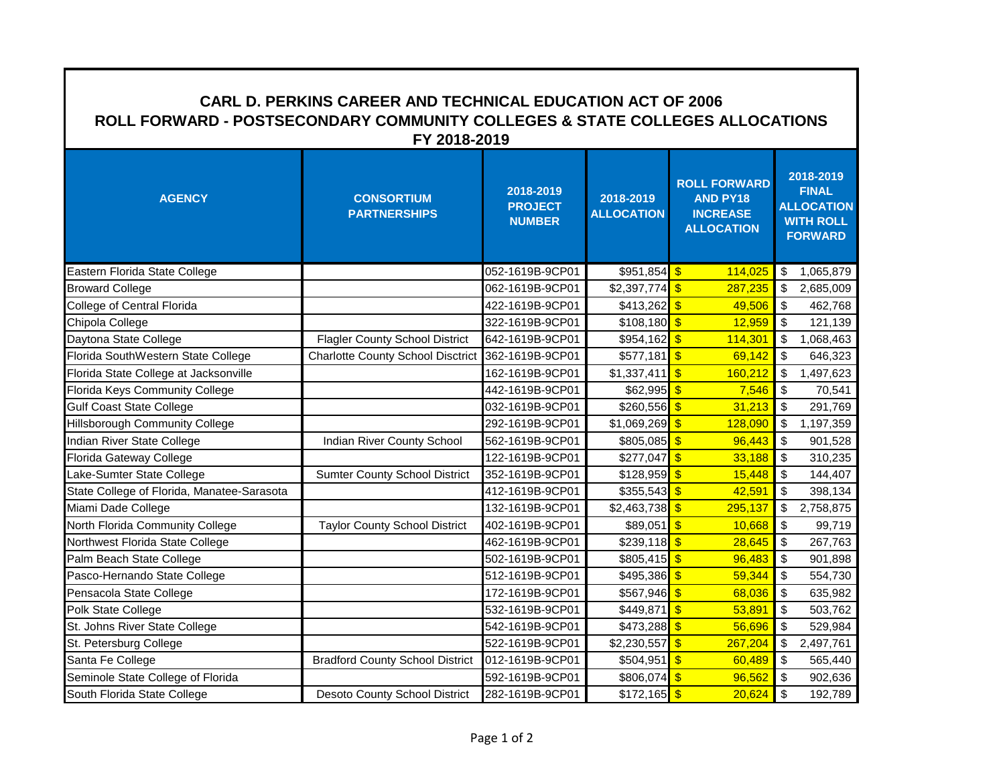| <b>CARL D. PERKINS CAREER AND TECHNICAL EDUCATION ACT OF 2006</b><br>ROLL FORWARD - POSTSECONDARY COMMUNITY COLLEGES & STATE COLLEGES ALLOCATIONS<br>FY 2018-2019 |                                          |                                              |                                |                                                                                |                                                                                      |  |  |
|-------------------------------------------------------------------------------------------------------------------------------------------------------------------|------------------------------------------|----------------------------------------------|--------------------------------|--------------------------------------------------------------------------------|--------------------------------------------------------------------------------------|--|--|
| <b>AGENCY</b>                                                                                                                                                     | <b>CONSORTIUM</b><br><b>PARTNERSHIPS</b> | 2018-2019<br><b>PROJECT</b><br><b>NUMBER</b> | 2018-2019<br><b>ALLOCATION</b> | <b>ROLL FORWARD</b><br><b>AND PY18</b><br><b>INCREASE</b><br><b>ALLOCATION</b> | 2018-2019<br><b>FINAL</b><br><b>ALLOCATION</b><br><b>WITH ROLL</b><br><b>FORWARD</b> |  |  |
| Eastern Florida State College                                                                                                                                     |                                          | 052-1619B-9CP01                              | $$951,854$ \$                  | 114,025                                                                        | 1,065,879<br>\$                                                                      |  |  |
| <b>Broward College</b>                                                                                                                                            |                                          | 062-1619B-9CP01                              | $$2,397,774$ \$                | 287,235                                                                        | $\boldsymbol{\mathsf{S}}$<br>2,685,009                                               |  |  |
| College of Central Florida                                                                                                                                        |                                          | 422-1619B-9CP01                              | $$413,262$ \$                  | 49,506                                                                         | \$<br>462,768                                                                        |  |  |
| Chipola College                                                                                                                                                   |                                          | 322-1619B-9CP01                              | $$108,180$ \$                  | 12,959                                                                         | \$<br>121,139                                                                        |  |  |
| Daytona State College                                                                                                                                             | <b>Flagler County School District</b>    | 642-1619B-9CP01                              | $$954,162$ \$                  | 114,301                                                                        | $\sqrt{2}$<br>1,068,463                                                              |  |  |
| Florida SouthWestern State College                                                                                                                                | <b>Charlotte County School Disctrict</b> | 362-1619B-9CP01                              | $$577,181$ \$                  | 69,142                                                                         | \$<br>646,323                                                                        |  |  |
| Florida State College at Jacksonville                                                                                                                             |                                          | 162-1619B-9CP01                              | \$1,337,411                    | $\sqrt{3}$<br>160,212                                                          | $\boldsymbol{\mathsf{S}}$<br>1,497,623                                               |  |  |
| Florida Keys Community College                                                                                                                                    |                                          | 442-1619B-9CP01                              | \$62,995                       | $\mathbf{S}$<br>7,546                                                          | $\boldsymbol{\mathsf{S}}$<br>70,541                                                  |  |  |
| <b>Gulf Coast State College</b>                                                                                                                                   |                                          | 032-1619B-9CP01                              | \$260,556                      | $\sqrt{3}$<br>31,213                                                           | $\sqrt{2}$<br>291,769                                                                |  |  |
| <b>Hillsborough Community College</b>                                                                                                                             |                                          | 292-1619B-9CP01                              | \$1,069,269                    | $\sqrt{3}$<br>128,090                                                          | $\sqrt{2}$<br>1,197,359                                                              |  |  |
| Indian River State College                                                                                                                                        | Indian River County School               | 562-1619B-9CP01                              | \$805,085                      | $\sqrt[6]{3}$<br>96,443                                                        | $\boldsymbol{\mathsf{S}}$<br>901,528                                                 |  |  |
| Florida Gateway College                                                                                                                                           |                                          | 122-1619B-9CP01                              | \$277,047                      | $\sqrt{3}$<br>33,188                                                           | $\sqrt[6]{\frac{1}{2}}$<br>310,235                                                   |  |  |
| Lake-Sumter State College                                                                                                                                         | <b>Sumter County School District</b>     | 352-1619B-9CP01                              | \$128,959                      | $\sqrt{3}$<br>15,448                                                           | $\sqrt[6]{\frac{1}{2}}$<br>144,407                                                   |  |  |
| State College of Florida, Manatee-Sarasota                                                                                                                        |                                          | 412-1619B-9CP01                              | \$355,543                      | $\sqrt{3}$<br>42,591                                                           | $\sqrt{2}$<br>398,134                                                                |  |  |
| Miami Dade College                                                                                                                                                |                                          | 132-1619B-9CP01                              | \$2,463,738                    | $\sqrt{3}$<br>295,137                                                          | $\mathfrak s$<br>2,758,875                                                           |  |  |
| North Florida Community College                                                                                                                                   | <b>Taylor County School District</b>     | 402-1619B-9CP01                              | \$89,051                       | $\mathbf{\hat{s}}$<br>10,668                                                   | $\sqrt{2}$<br>99,719                                                                 |  |  |
| Northwest Florida State College                                                                                                                                   |                                          | 462-1619B-9CP01                              | $$239,118$ \$                  | 28,645                                                                         | $\sqrt{2}$<br>267,763                                                                |  |  |
| Palm Beach State College                                                                                                                                          |                                          | 502-1619B-9CP01                              | \$805,415                      | $\mathbf{s}$<br>96,483                                                         | $\sqrt{2}$<br>901,898                                                                |  |  |
| Pasco-Hernando State College                                                                                                                                      |                                          | 512-1619B-9CP01                              | \$495,386                      | $\sqrt{3}$<br>59,344                                                           | $\sqrt{2}$<br>554,730                                                                |  |  |
| Pensacola State College                                                                                                                                           |                                          | 172-1619B-9CP01                              | \$567,946                      | $\sqrt{3}$<br>68,036                                                           | $\sqrt{2}$<br>635,982                                                                |  |  |
| Polk State College                                                                                                                                                |                                          | 532-1619B-9CP01                              | \$449,871                      | $\sqrt{3}$<br>53,891                                                           | $\sqrt{2}$<br>503,762                                                                |  |  |
| St. Johns River State College                                                                                                                                     |                                          | 542-1619B-9CP01                              | \$473,288                      | $\sqrt{3}$<br>56,696                                                           | $\mathfrak s$<br>529,984                                                             |  |  |
| St. Petersburg College                                                                                                                                            |                                          | 522-1619B-9CP01                              | $$2,230,557$ \$                | 267,204                                                                        | $\boldsymbol{\mathsf{S}}$<br>2,497,761                                               |  |  |
| Santa Fe College                                                                                                                                                  | <b>Bradford County School District</b>   | 012-1619B-9CP01                              | \$504,951                      | $\mathbf{s}$<br>60,489                                                         | $\boldsymbol{\mathsf{S}}$<br>565,440                                                 |  |  |
| Seminole State College of Florida                                                                                                                                 |                                          | 592-1619B-9CP01                              | $$806,074$ \$                  | 96,562                                                                         | $\mathsf{I}$<br>902,636                                                              |  |  |
| South Florida State College                                                                                                                                       | <b>Desoto County School District</b>     | 282-1619B-9CP01                              | $$172,165$ \$                  | 20,624                                                                         | $\sqrt{2}$<br>192,789                                                                |  |  |

٦